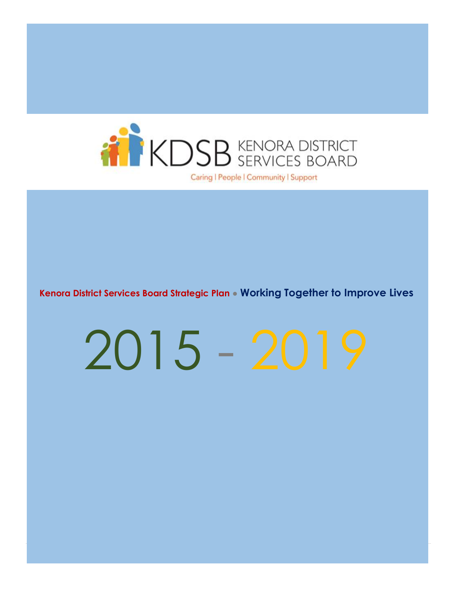

**Kenora District Services Board Strategic Plan ● Working Together to Improve Lives**

# 2015 - 2019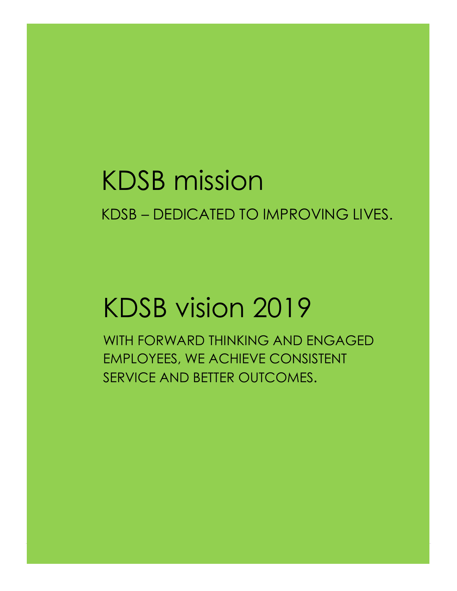### KDSB mission KDSB – DEDICATED TO IMPROVING LIVES.

# KDSB vision 2019

WITH FORWARD THINKING AND ENGAGED EMPLOYEES, WE ACHIEVE CONSISTENT SERVICE AND BETTER OUTCOMES.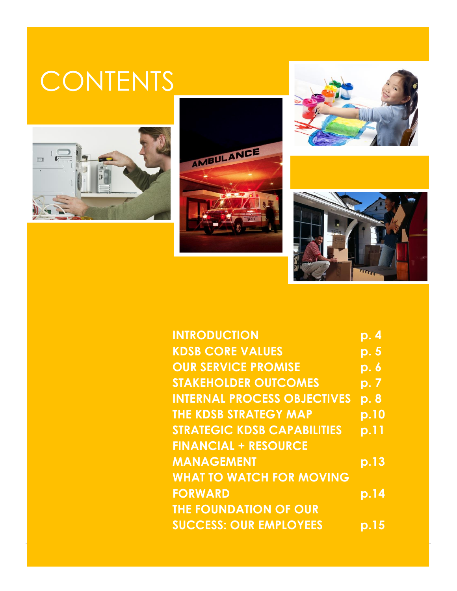## **CONTENTS**









| <b>INTRODUCTION</b>                | <u>p. 4</u>               |
|------------------------------------|---------------------------|
| <b>KDSB CORE VALUES</b>            | $\overline{\mathsf{p.5}}$ |
| <b>OUR SERVICE PROMISE</b>         | <u>p. 6</u>               |
| <b>STAKEHOLDER OUTCOMES</b>        | <u>p. 7</u>               |
| <b>INTERNAL PROCESS OBJECTIVES</b> | p.8                       |
| <b>THE KDSB STRATEGY MAP</b>       | p.10                      |
| <b>STRATEGIC KDSB CAPABILITIES</b> | p.11                      |
| <b>FINANCIAL + RESOURCE</b>        |                           |
| <b>MANAGEMENT</b>                  | p.13                      |
| <b>WHAT TO WATCH FOR MOVING</b>    |                           |
| <b>FORWARD</b>                     | p.14                      |
| <b>THE FOUNDATION OF OUR</b>       |                           |
| <b>SUCCESS: OUR EMPLOYEES</b>      | p.15                      |
|                                    |                           |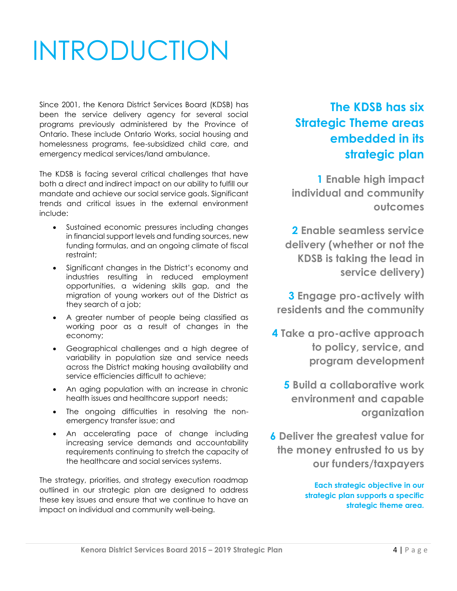# INTRODUCTION

Since 2001, the Kenora District Services Board (KDSB) has been the service delivery agency for several social programs previously administered by the Province of Ontario. These include Ontario Works, social housing and homelessness programs, fee-subsidized child care, and emergency medical services/land ambulance.

The KDSB is facing several critical challenges that have both a direct and indirect impact on our ability to fulfill our mandate and achieve our social service goals. Significant trends and critical issues in the external environment include:

- Sustained economic pressures including changes in financial support levels and funding sources, new funding formulas, and an ongoing climate of fiscal restraint;
- Significant changes in the District's economy and industries resulting in reduced employment opportunities, a widening skills gap, and the migration of young workers out of the District as they search of a job;
- A greater number of people being classified as working poor as a result of changes in the economy;
- Geographical challenges and a high degree of variability in population size and service needs across the District making housing availability and service efficiencies difficult to achieve;
- An aging population with an increase in chronic health issues and healthcare support needs;
- The ongoing difficulties in resolving the nonemergency transfer issue; and
- An accelerating pace of change including increasing service demands and accountability requirements continuing to stretch the capacity of the healthcare and social services systems.

The strategy, priorities, and strategy execution roadmap outlined in our strategic plan are designed to address these key issues and ensure that we continue to have an impact on individual and community well-being.

### **The KDSB has six Strategic Theme areas embedded in its strategic plan**

**1 Enable high impact individual and community outcomes**

**2 Enable seamless service delivery (whether or not the KDSB is taking the lead in service delivery)**

**3 Engage pro-actively with residents and the community**

- **4 Take a pro-active approach to policy, service, and program development**
	- **5 Build a collaborative work environment and capable organization**
- **6 Deliver the greatest value for the money entrusted to us by our funders/taxpayers**

**Each strategic objective in our strategic plan supports a specific strategic theme area.**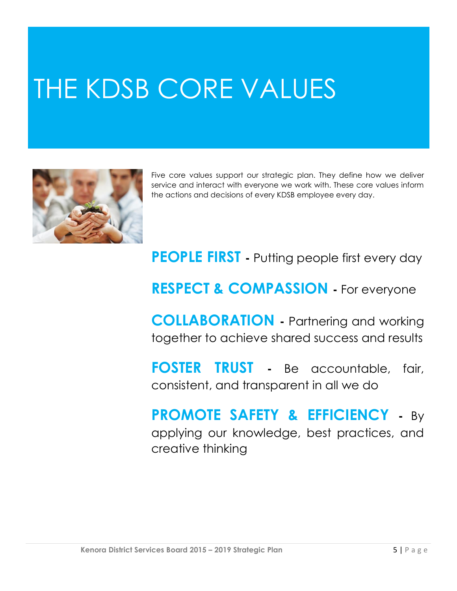# THE KDSB CORE VALUES



Five core values support our strategic plan. They define how we deliver service and interact with everyone we work with. These core values inform the actions and decisions of every KDSB employee every day.

### **PEOPLE FIRST -** Putting people first every day

### **RESPECT & COMPASSION -** For everyone

**COLLABORATION -** Partnering and working together to achieve shared success and results

**FOSTER TRUST -** Be accountable, fair, consistent, and transparent in all we do

### **PROMOTE SAFETY & EFFICIENCY -** By applying our knowledge, best practices, and creative thinking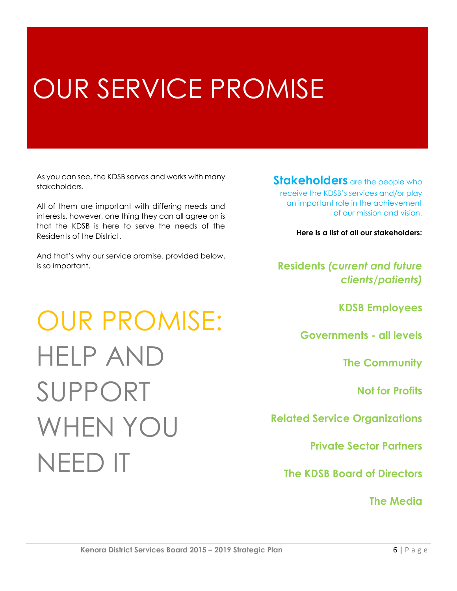# OUR SERVICE PROMISE

As you can see, the KDSB serves and works with many stakeholders.

All of them are important with differing needs and interests, however, one thing they can all agree on is that the KDSB is here to serve the needs of the Residents of the District.

And that's why our service promise, provided below, is so important.

OUR PROMISE:

HELP AND

SUPPORT

NEED IT

WHEN YOU

#### **Stakeholders** are the people who receive the KDSB's services and/or play an important role in the achievement of our mission and vision.

**Here is a list of all our stakeholders:**

#### **Residents** *(current and future clients/patients)*

**KDSB Employees**

**Governments - all levels** 

**The Community**

**Not for Profits**

**Related Service Organizations**

**Private Sector Partners**

**The KDSB Board of Directors**

**The Media**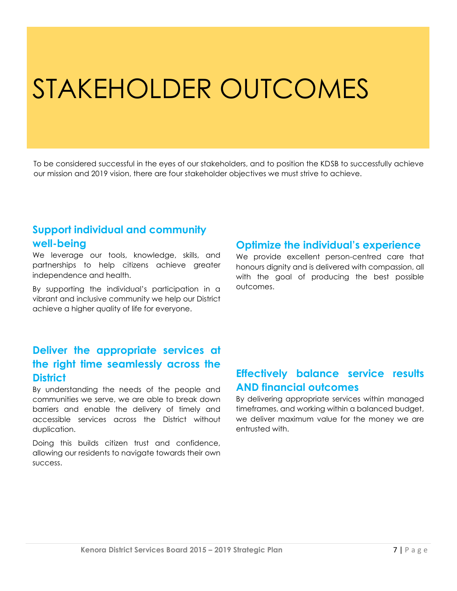## STAKEHOLDER OUTCOMES

To be considered successful in the eyes of our stakeholders, and to position the KDSB to successfully achieve our mission and 2019 vision, there are four stakeholder objectives we must strive to achieve.

#### **Support individual and community well-being**

We leverage our tools, knowledge, skills, and partnerships to help citizens achieve greater independence and health.

By supporting the individual's participation in a vibrant and inclusive community we help our District achieve a higher quality of life for everyone.

#### **Optimize the individual's experience**

We provide excellent person-centred care that honours dignity and is delivered with compassion, all with the goal of producing the best possible outcomes.

#### **Deliver the appropriate services at the right time seamlessly across the District**

By understanding the needs of the people and communities we serve, we are able to break down barriers and enable the delivery of timely and accessible services across the District without duplication.

Doing this builds citizen trust and confidence, allowing our residents to navigate towards their own success.

#### **Effectively balance service results AND financial outcomes**

By delivering appropriate services within managed timeframes, and working within a balanced budget, we deliver maximum value for the money we are entrusted with.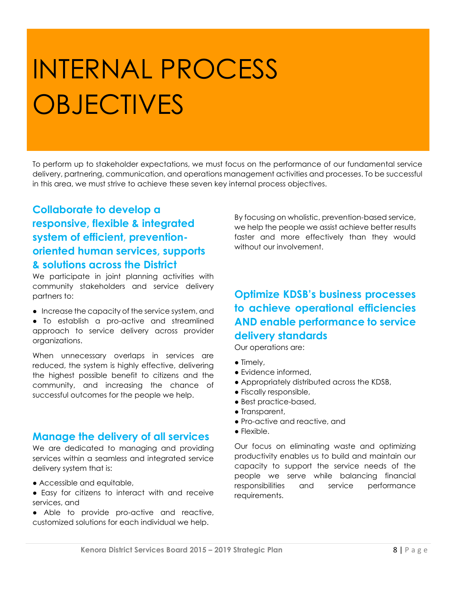# INTERNAL PROCESS **OBJECTIVES**

To perform up to stakeholder expectations, we must focus on the performance of our fundamental service delivery, partnering, communication, and operations management activities and processes. To be successful in this area, we must strive to achieve these seven key internal process objectives.

#### **Collaborate to develop a responsive, flexible & integrated system of efficient, preventionoriented human services, supports & solutions across the District**

We participate in joint planning activities with community stakeholders and service delivery partners to:

- Increase the capacity of the service system, and
- To establish a pro-active and streamlined approach to service delivery across provider organizations.

When unnecessary overlaps in services are reduced, the system is highly effective, delivering the highest possible benefit to citizens and the community, and increasing the chance of successful outcomes for the people we help.

#### **Manage the delivery of all services**

We are dedicated to managing and providing services within a seamless and integrated service delivery system that is:

- Accessible and equitable,
- Easy for citizens to interact with and receive services, and
- Able to provide pro-active and reactive, customized solutions for each individual we help.

By focusing on wholistic, prevention-based service, we help the people we assist achieve better results faster and more effectively than they would without our involvement.

#### **Optimize KDSB's business processes to achieve operational efficiencies AND enable performance to service delivery standards**

Our operations are:

- Timely,
- Evidence informed,
- Appropriately distributed across the KDSB,
- Fiscally responsible,
- Best practice-based,
- Transparent,
- Pro-active and reactive, and
- Flexible.

Our focus on eliminating waste and optimizing productivity enables us to build and maintain our capacity to support the service needs of the people we serve while balancing financial responsibilities and service performance requirements.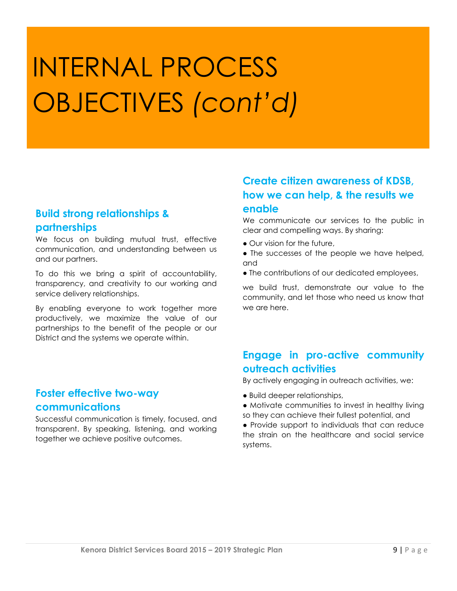# INTERNAL PROCESS OBJECTIVES *(cont'd)*

#### **Build strong relationships & partnerships**

We focus on building mutual trust, effective communication, and understanding between us and our partners.

To do this we bring a spirit of accountability, transparency, and creativity to our working and service delivery relationships.

By enabling everyone to work together more productively, we maximize the value of our partnerships to the benefit of the people or our District and the systems we operate within.

#### **Foster effective two-way communications**

Successful communication is timely, focused, and transparent. By speaking, listening, and working together we achieve positive outcomes.

#### **Create citizen awareness of KDSB, how we can help, & the results we enable**

We communicate our services to the public in clear and compelling ways. By sharing:

- Our vision for the future,
- The successes of the people we have helped, and
- The contributions of our dedicated employees,

we build trust, demonstrate our value to the community, and let those who need us know that we are here.

#### **Engage in pro-active community outreach activities**

By actively engaging in outreach activities, we:

- Build deeper relationships,
- Motivate communities to invest in healthy living so they can achieve their fullest potential, and
- Provide support to individuals that can reduce the strain on the healthcare and social service systems.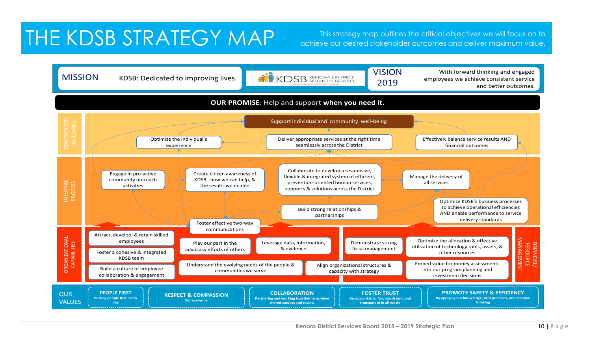### THE KDSB STRATEGY MAP This strategy map outlines the critical objectives we will focus on to

achieve our desired stakeholder outcomes and deliver maximum value.

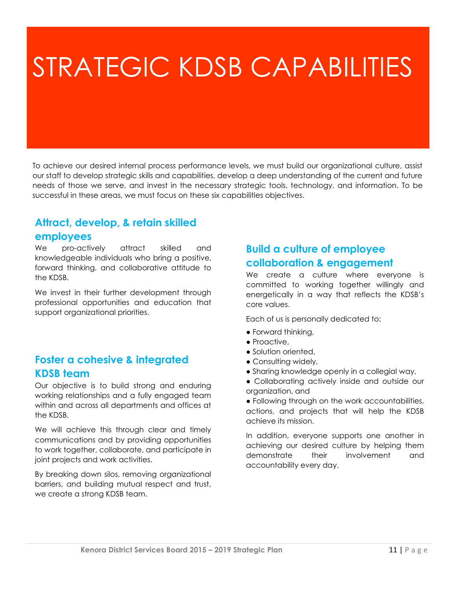# STRATEGIC KDSB CAPABILITIES

To achieve our desired internal process performance levels, we must build our organizational culture, assist our staff to develop strategic skills and capabilities, develop a deep understanding of the current and future needs of those we serve, and invest in the necessary strategic tools, technology, and information. To be successful in these areas, we must focus on these six capabilities objectives.

#### **Attract, develop, & retain skilled**

#### **employees**

We pro-actively attract skilled and knowledgeable individuals who bring a positive, forward thinking, and collaborative attitude to the KDSB.

We invest in their further development through professional opportunities and education that support organizational priorities.

#### **Foster a cohesive & integrated KDSB team**

Our objective is to build strong and enduring working relationships and a fully engaged team within and across all departments and offices at the KDSB.

We will achieve this through clear and timely communications and by providing opportunities to work together, collaborate, and participate in joint projects and work activities.

By breaking down silos, removing organizational barriers, and building mutual respect and trust, we create a strong KDSB team.

#### **Build a culture of employee collaboration & engagement**

We create a culture where everyone is committed to working together willingly and energetically in a way that reflects the KDSB's core values.

Each of us is personally dedicated to:

- Forward thinking,
- Proactive,
- Solution oriented,
- Consulting widely,
- Sharing knowledge openly in a collegial way,
- Collaborating actively inside and outside our organization, and
- Following through on the work accountabilities, actions, and projects that will help the KDSB achieve its mission.

In addition, everyone supports one another in achieving our desired culture by helping them demonstrate their involvement and accountability every day.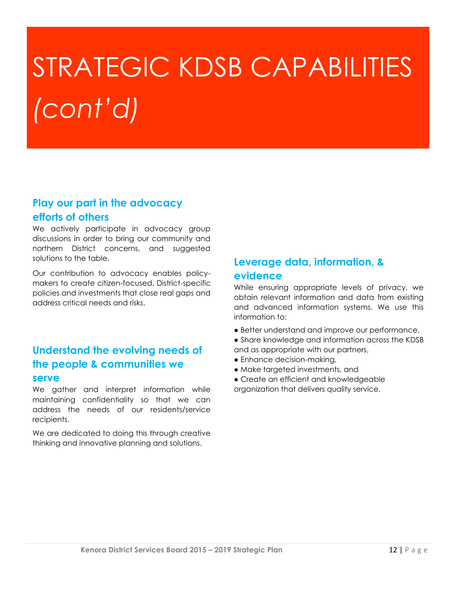# STRATEGIC KDSB CAPABILITIES *(cont'd)*

#### **Play our part in the advocacy efforts of others**

We actively participate in advocacy group discussions in order to bring our community and northern District concerns, and suggested solutions to the table.

Our contribution to advocacy enables policymakers to create citizen-focused, District-specific policies and investments that close real gaps and address critical needs and risks.

#### **Understand the evolving needs of the people & communities we serve**

We gather and interpret information while maintaining confidentiality so that we can address the needs of our residents/service recipients.

We are dedicated to doing this through creative thinking and innovative planning and solutions.

#### **Leverage data, information, & evidence**

While ensuring appropriate levels of privacy, we obtain relevant information and data from existing and advanced information systems. We use this information to:

- Better understand and improve our performance,
- Share knowledge and information across the KDSB and as appropriate with our partners,
- Enhance decision-making,
- Make targeted investments, and

● Create an efficient and knowledgeable organization that delivers quality service.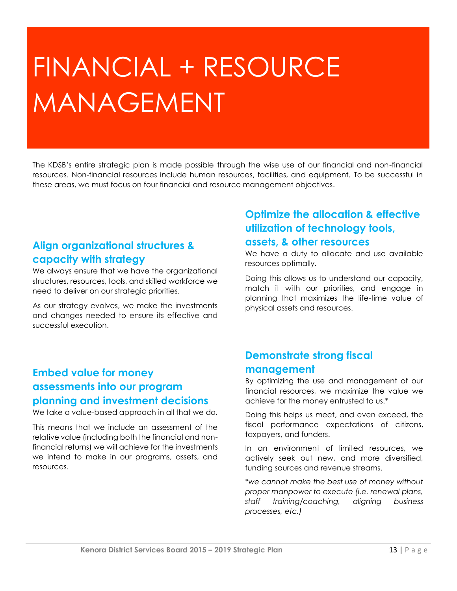# FINANCIAL + RESOURCE MANAGEMENT

The KDSB's entire strategic plan is made possible through the wise use of our financial and non-financial resources. Non-financial resources include human resources, facilities, and equipment. To be successful in these areas, we must focus on four financial and resource management objectives.

#### **Align organizational structures & capacity with strategy**

We always ensure that we have the organizational structures, resources, tools, and skilled workforce we need to deliver on our strategic priorities.

As our strategy evolves, we make the investments and changes needed to ensure its effective and successful execution.

#### **Embed value for money assessments into our program planning and investment decisions**

We take a value-based approach in all that we do.

This means that we include an assessment of the relative value (including both the financial and nonfinancial returns) we will achieve for the investments we intend to make in our programs, assets, and resources.

#### **Optimize the allocation & effective utilization of technology tools,**

#### **assets, & other resources**

We have a duty to allocate and use available resources optimally.

Doing this allows us to understand our capacity, match it with our priorities, and engage in planning that maximizes the life-time value of physical assets and resources.

#### **Demonstrate strong fiscal management**

By optimizing the use and management of our financial resources, we maximize the value we achieve for the money entrusted to us.\*

Doing this helps us meet, and even exceed, the fiscal performance expectations of citizens, taxpayers, and funders.

In an environment of limited resources, we actively seek out new, and more diversified, funding sources and revenue streams.

*\*we cannot make the best use of money without proper manpower to execute (i.e. renewal plans, staff training/coaching, aligning business processes, etc.)*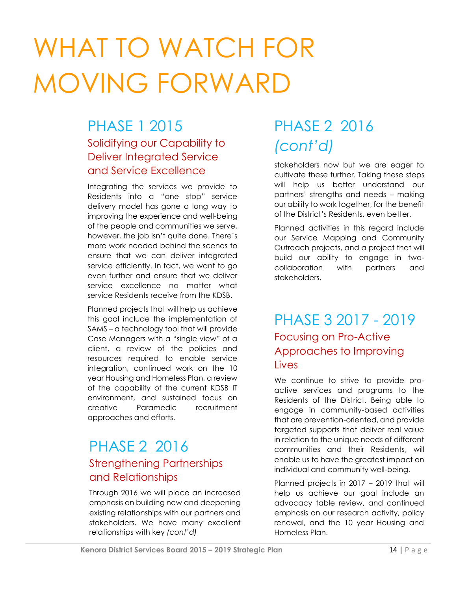# WHAT TO WATCH FOR MOVING FORWARD

### PHASE 1 2015 Solidifying our Capability to Deliver Integrated Service and Service Excellence

Integrating the services we provide to Residents into a "one stop" service delivery model has gone a long way to improving the experience and well-being of the people and communities we serve, however, the job isn't quite done. There's more work needed behind the scenes to ensure that we can deliver integrated service efficiently. In fact, we want to go even further and ensure that we deliver service excellence no matter what service Residents receive from the KDSB.

Planned projects that will help us achieve this goal include the implementation of SAMS – a technology tool that will provide Case Managers with a "single view" of a client, a review of the policies and resources required to enable service integration, continued work on the 10 year Housing and Homeless Plan, a review of the capability of the current KDSB IT environment, and sustained focus on creative Paramedic recruitment approaches and efforts.

### PHASE 2 2016 Strengthening Partnerships and Relationships

Through 2016 we will place an increased emphasis on building new and deepening existing relationships with our partners and stakeholders. We have many excellent relationships with key *(cont'd)*

### PHASE 2 2016 *(cont'd)*

stakeholders now but we are eager to cultivate these further. Taking these steps will help us better understand our partners' strengths and needs – making our ability to work together, for the benefit of the District's Residents, even better.

Planned activities in this regard include our Service Mapping and Community Outreach projects, and a project that will build our ability to engage in twocollaboration with partners and stakeholders.

### PHASE 3 2017 - 2019 Focusing on Pro-Active Approaches to Improving Lives

We continue to strive to provide proactive services and programs to the Residents of the District. Being able to engage in community-based activities that are prevention-oriented, and provide targeted supports that deliver real value in relation to the unique needs of different communities and their Residents, will enable us to have the greatest impact on individual and community well-being.

Planned projects in 2017 – 2019 that will help us achieve our goal include an advocacy table review, and continued emphasis on our research activity, policy renewal, and the 10 year Housing and Homeless Plan.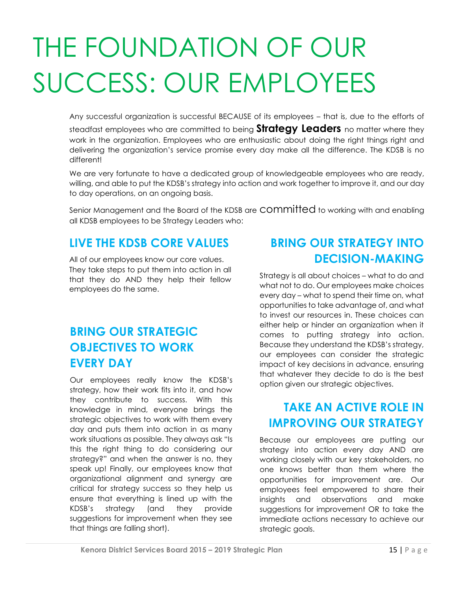# THE FOUNDATION OF OUR SUCCESS: OUR EMPLOYEES

Any successful organization is successful BECAUSE of its employees – that is, due to the efforts of steadfast employees who are committed to being **Strategy Leaders** no matter where they work in the organization. Employees who are enthusiastic about doing the right things right and delivering the organization's service promise every day make all the difference. The KDSB is no different!

We are very fortunate to have a dedicated group of knowledgeable employees who are ready, willing, and able to put the KDSB's strategy into action and work together to improve it, and our day to day operations, on an ongoing basis.

Senior Management and the Board of the KDSB are COMMITTED to working with and enabling all KDSB employees to be Strategy Leaders who:

### : **LIVE THE KDSB CORE VALUES**

All of our employees know our core values. They take steps to put them into action in all that they do AND they help their fellow employees do the same.

### **BRING OUR STRATEGIC OBJECTIVES TO WORK EVERY DAY**

Our employees really know the KDSB's strategy, how their work fits into it, and how they contribute to success. With this knowledge in mind, everyone brings the strategic objectives to work with them every day and puts them into action in as many work situations as possible. They always ask "Is this the right thing to do considering our strategy?" and when the answer is no, they speak up! Finally, our employees know that organizational alignment and synergy are critical for strategy success so they help us ensure that everything is lined up with the KDSB's strategy (and they provide suggestions for improvement when they see that things are falling short).

### **BRING OUR STRATEGY INTO DECISION-MAKING**

Strategy is all about choices – what to do and what not to do. Our employees make choices every day – what to spend their time on, what opportunities to take advantage of, and what to invest our resources in. These choices can either help or hinder an organization when it comes to putting strategy into action. Because they understand the KDSB's strategy, our employees can consider the strategic impact of key decisions in advance, ensuring that whatever they decide to do is the best option given our strategic objectives.

### **TAKE AN ACTIVE ROLE IN IMPROVING OUR STRATEGY**

Because our employees are putting our strategy into action every day AND are working closely with our key stakeholders, no one knows better than them where the opportunities for improvement are. Our employees feel empowered to share their insights and observations and make suggestions for improvement OR to take the immediate actions necessary to achieve our strategic goals.